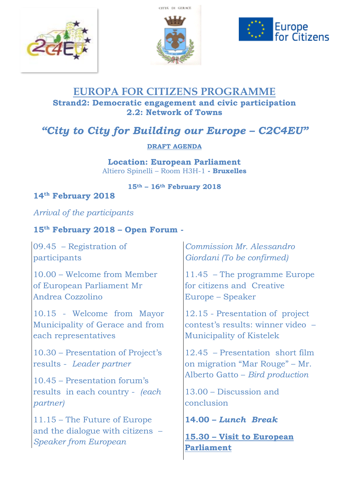





## **EUROPA FOR CITIZENS PROGRAMME Strand2: Democratic engagement and civic participation 2.2: Network of Towns**

# *"City to City for Building our Europe – C2C4EU"*

#### **DRAFT AGENDA**

**Location: European Parliament**  Altiero Spinelli – Room H3H-1 **- Bruxelles**

**15th – 16th February 2018**

### **14th February 2018**

*Arrival of the participants*

### **15th February 2018 – Open Forum -**

09.45 – Registration of participants

10.00 – Welcome from Member of [European Parliament](http://www.europarl.europa.eu/portal/en) Mr Andrea Cozzolino

10.15 - Welcome from Mayor Municipality of Gerace and from each representatives

10.30 – Presentation of Project's results - *Leader partner*

10.45 – Presentation forum's results in each country - *(each partner)* 

11.15 – The Future of Europe and the dialogue with citizens – *Speaker from European* 

*Commission Mr. Alessandro Giordani (To be confirmed)* 

11.45 – The programme Europe for citizens and Creative Europe – Speaker

12.15 - Presentation of project contest's results: winner video – Municipality of Kistelek

12.45 – Presentation short film on migration "Mar Rouge" – Mr. Alberto Gatto – *Bird production* 

13.00 – Discussion and conclusion

**14.00 –** *Lunch Break*

**15.30 – Visit to European Parliament**